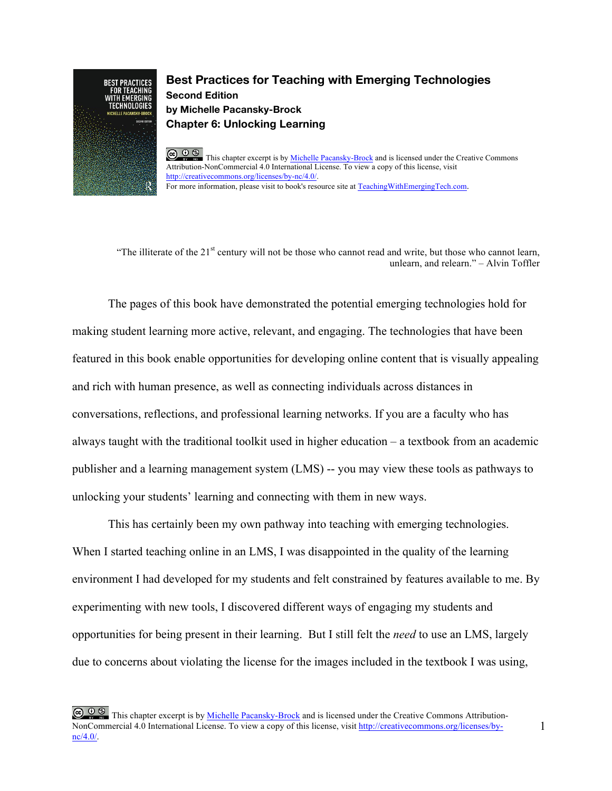

# **Best Practices for Teaching with Emerging Technologies Second Edition by Michelle Pacansky-Brock Chapter 6: Unlocking Learning**

**CO O** S<br>This chapter excerpt is by <u>Michelle Pacansky-Brock</u> and is licensed under the Creative Commons Attribution-NonCommercial 4.0 International License. To view a copy of this license, visit <http://creativecommons.org/licenses/by-nc/4.0/>. For more information, please visit to book's resource site at TeachingWithEmergingTech.com.

"The illiterate of the  $21<sup>st</sup>$  century will not be those who cannot read and write, but those who cannot learn, unlearn, and relearn." – Alvin Toffler

The pages of this book have demonstrated the potential emerging technologies hold for making student learning more active, relevant, and engaging. The technologies that have been featured in this book enable opportunities for developing online content that is visually appealing and rich with human presence, as well as connecting individuals across distances in conversations, reflections, and professional learning networks. If you are a faculty who has always taught with the traditional toolkit used in higher education – a textbook from an academic publisher and a learning management system (LMS) -- you may view these tools as pathways to unlocking your students' learning and connecting with them in new ways.

This has certainly been my own pathway into teaching with emerging technologies. When I started teaching online in an LMS, I was disappointed in the quality of the learning environment I had developed for my students and felt constrained by features available to me. By experimenting with new tools, I discovered different ways of engaging my students and opportunities for being present in their learning. But I still felt the *need* to use an LMS, largely due to concerns about violating the license for the images included in the textbook I was using,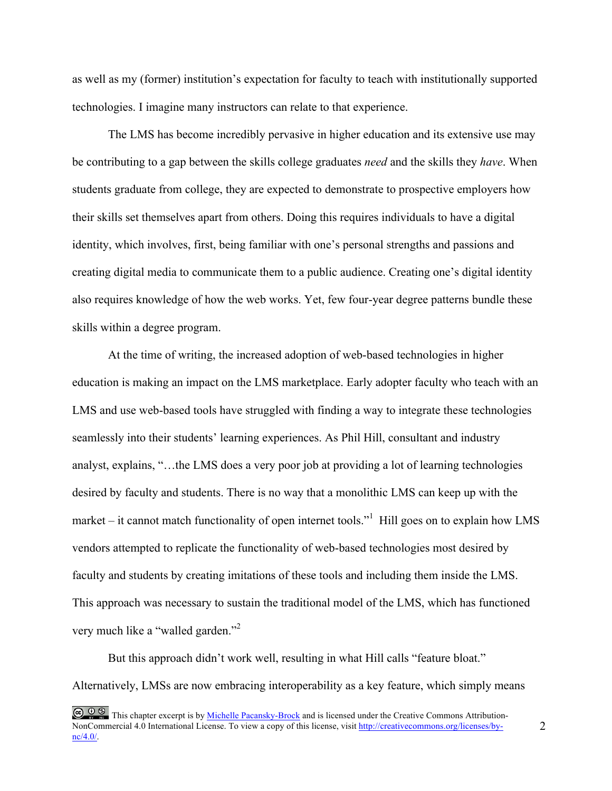as well as my (former) institution's expectation for faculty to teach with institutionally supported technologies. I imagine many instructors can relate to that experience.

The LMS has become incredibly pervasive in higher education and its extensive use may be contributing to a gap between the skills college graduates *need* and the skills they *have*. When students graduate from college, they are expected to demonstrate to prospective employers how their skills set themselves apart from others. Doing this requires individuals to have a digital identity, which involves, first, being familiar with one's personal strengths and passions and creating digital media to communicate them to a public audience. Creating one's digital identity also requires knowledge of how the web works. Yet, few four-year degree patterns bundle these skills within a degree program.

At the time of writing, the increased adoption of web-based technologies in higher education is making an impact on the LMS marketplace. Early adopter faculty who teach with an LMS and use web-based tools have struggled with finding a way to integrate these technologies seamlessly into their students' learning experiences. As Phil Hill, consultant and industry analyst, explains, "…the LMS does a very poor job at providing a lot of learning technologies desired by faculty and students. There is no way that a monolithic LMS can keep up with the market – it cannot match functionality of open internet tools."<sup>1</sup> Hill goes on to explain how LMS vendors attempted to replicate the functionality of web-based technologies most desired by faculty and students by creating imitations of these tools and including them inside the LMS. This approach was necessary to sustain the traditional model of the LMS, which has functioned very much like a "walled garden."<sup>2</sup>

But this approach didn't work well, resulting in what Hill calls "feature bloat." Alternatively, LMSs are now embracing interoperability as a key feature, which simply means

**COO** This chapter excerpt is by [Michelle Pacansky-Brock](http://brocansky.com) and is licensed under the Creative Commons Attribution-NonCommercial 4.0 International License. To view a copy of this license, visit [http://creativecommons.org/licenses/by](http://creativecommons.org/licenses/by-nc/4.0/)[nc/4.0/](http://creativecommons.org/licenses/by-nc/4.0/).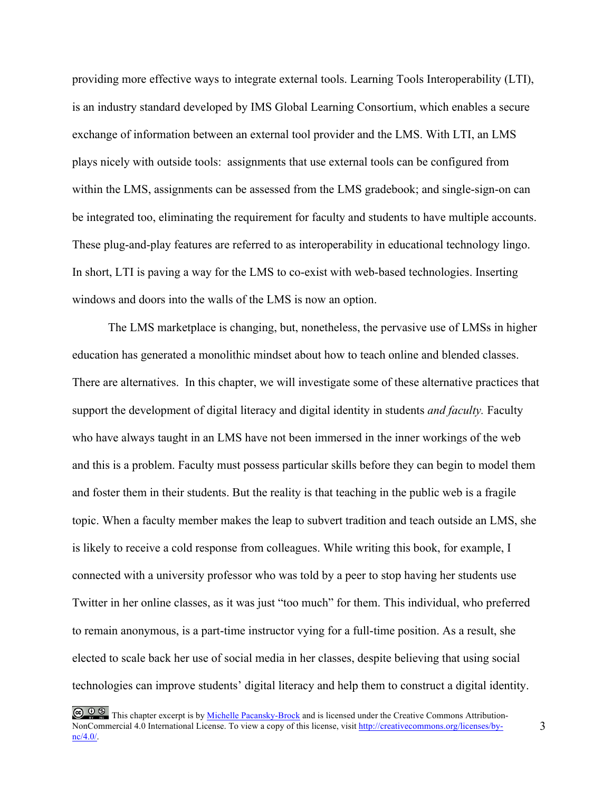providing more effective ways to integrate external tools. Learning Tools Interoperability (LTI), is an industry standard developed by IMS Global Learning Consortium, which enables a secure exchange of information between an external tool provider and the LMS. With LTI, an LMS plays nicely with outside tools: assignments that use external tools can be configured from within the LMS, assignments can be assessed from the LMS gradebook; and single-sign-on can be integrated too, eliminating the requirement for faculty and students to have multiple accounts. These plug-and-play features are referred to as interoperability in educational technology lingo. In short, LTI is paving a way for the LMS to co-exist with web-based technologies. Inserting windows and doors into the walls of the LMS is now an option.

The LMS marketplace is changing, but, nonetheless, the pervasive use of LMSs in higher education has generated a monolithic mindset about how to teach online and blended classes. There are alternatives. In this chapter, we will investigate some of these alternative practices that support the development of digital literacy and digital identity in students *and faculty.* Faculty who have always taught in an LMS have not been immersed in the inner workings of the web and this is a problem. Faculty must possess particular skills before they can begin to model them and foster them in their students. But the reality is that teaching in the public web is a fragile topic. When a faculty member makes the leap to subvert tradition and teach outside an LMS, she is likely to receive a cold response from colleagues. While writing this book, for example, I connected with a university professor who was told by a peer to stop having her students use Twitter in her online classes, as it was just "too much" for them. This individual, who preferred to remain anonymous, is a part-time instructor vying for a full-time position. As a result, she elected to scale back her use of social media in her classes, despite believing that using social technologies can improve students' digital literacy and help them to construct a digital identity.

**CO** <sup>O</sup> <sup>©</sup> This chapter excerpt is by [Michelle Pacansky-Brock](http://brocansky.com) and is licensed under the Creative Commons Attribution-NonCommercial 4.0 International License. To view a copy of this license, visit [http://creativecommons.org/licenses/by](http://creativecommons.org/licenses/by-nc/4.0/)[nc/4.0/](http://creativecommons.org/licenses/by-nc/4.0/).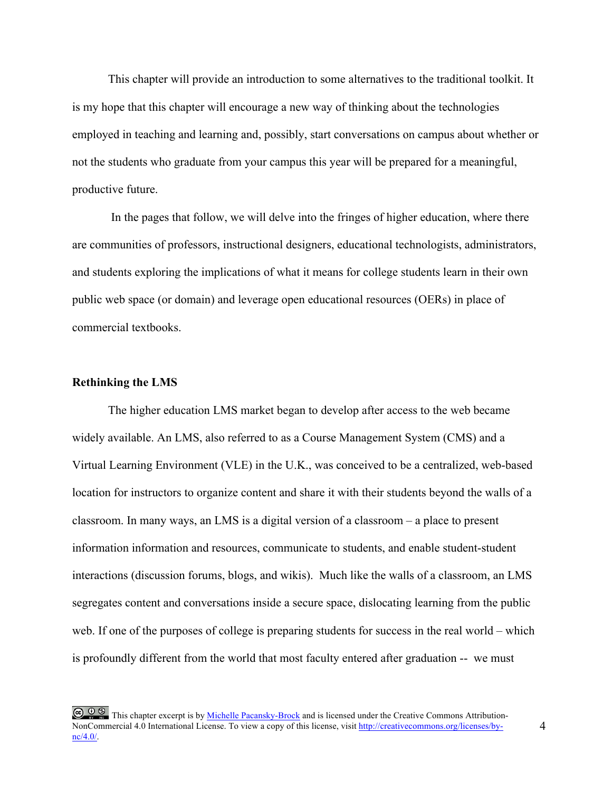This chapter will provide an introduction to some alternatives to the traditional toolkit. It is my hope that this chapter will encourage a new way of thinking about the technologies employed in teaching and learning and, possibly, start conversations on campus about whether or not the students who graduate from your campus this year will be prepared for a meaningful, productive future.

In the pages that follow, we will delve into the fringes of higher education, where there are communities of professors, instructional designers, educational technologists, administrators, and students exploring the implications of what it means for college students learn in their own public web space (or domain) and leverage open educational resources (OERs) in place of commercial textbooks.

## **Rethinking the LMS**

The higher education LMS market began to develop after access to the web became widely available. An LMS, also referred to as a Course Management System (CMS) and a Virtual Learning Environment (VLE) in the U.K., was conceived to be a centralized, web-based location for instructors to organize content and share it with their students beyond the walls of a classroom. In many ways, an LMS is a digital version of a classroom – a place to present information information and resources, communicate to students, and enable student-student interactions (discussion forums, blogs, and wikis). Much like the walls of a classroom, an LMS segregates content and conversations inside a secure space, dislocating learning from the public web. If one of the purposes of college is preparing students for success in the real world – which is profoundly different from the world that most faculty entered after graduation -- we must

**COO** This chapter excerpt is by [Michelle Pacansky-Brock](http://brocansky.com) and is licensed under the Creative Commons Attribution-NonCommercial 4.0 International License. To view a copy of this license, visit [http://creativecommons.org/licenses/by](http://creativecommons.org/licenses/by-nc/4.0/)[nc/4.0/](http://creativecommons.org/licenses/by-nc/4.0/).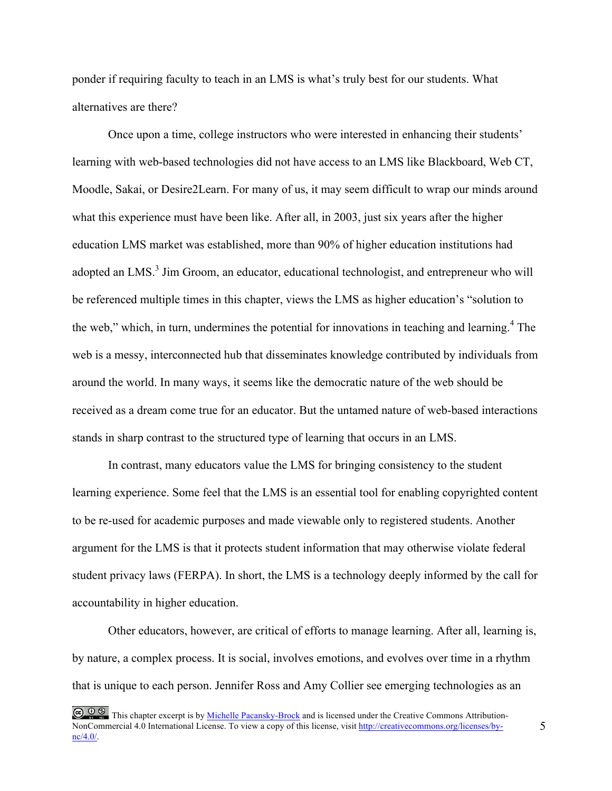ponder if requiring faculty to teach in an LMS is what's truly best for our students. What alternatives are there?

Once upon a time, college instructors who were interested in enhancing their students' learning with web-based technologies did not have access to an LMS like Blackboard, Web CT, Moodle, Sakai, or Desire2Learn. For many of us, it may seem difficult to wrap our minds around what this experience must have been like. After all, in 2003, just six years after the higher education LMS market was established, more than 90% of higher education institutions had adopted an LMS.<sup>3</sup> Jim Groom, an educator, educational technologist, and entrepreneur who will be referenced multiple times in this chapter, views the LMS as higher education's "solution to the web," which, in turn, undermines the potential for innovations in teaching and learning.<sup>4</sup> The web is a messy, interconnected hub that disseminates knowledge contributed by individuals from around the world. In many ways, it seems like the democratic nature of the web should be received as a dream come true for an educator. But the untamed nature of web-based interactions stands in sharp contrast to the structured type of learning that occurs in an LMS.

In contrast, many educators value the LMS for bringing consistency to the student learning experience. Some feel that the LMS is an essential tool for enabling copyrighted content to be re-used for academic purposes and made viewable only to registered students. Another argument for the LMS is that it protects student information that may otherwise violate federal student privacy laws (FERPA). In short, the LMS is a technology deeply informed by the call for accountability in higher education.

Other educators, however, are critical of efforts to manage learning. After all, learning is, by nature, a complex process. It is social, involves emotions, and evolves over time in a rhythm that is unique to each person. Jennifer Ross and Amy Collier see emerging technologies as an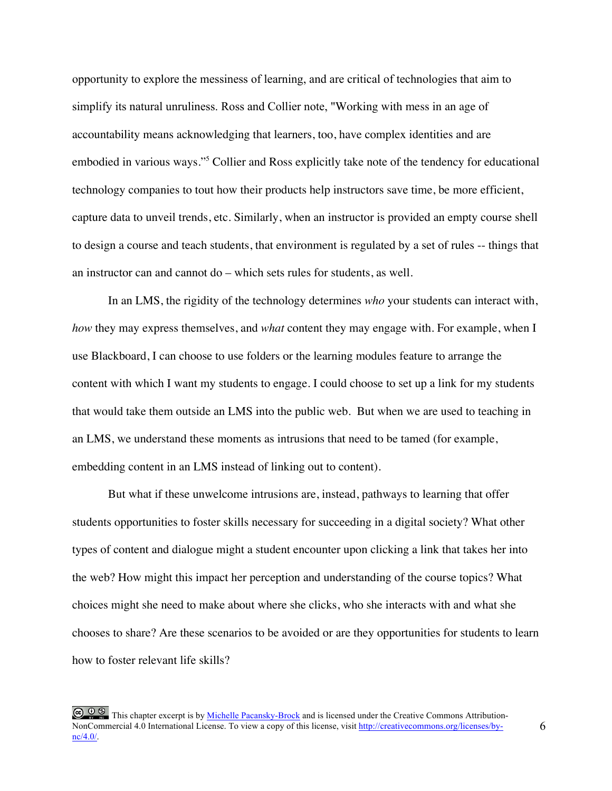opportunity to explore the messiness of learning, and are critical of technologies that aim to simplify its natural unruliness. Ross and Collier note, "Working with mess in an age of accountability means acknowledging that learners, too, have complex identities and are embodied in various ways."5 Collier and Ross explicitly take note of the tendency for educational technology companies to tout how their products help instructors save time, be more efficient, capture data to unveil trends, etc. Similarly, when an instructor is provided an empty course shell to design a course and teach students, that environment is regulated by a set of rules -- things that an instructor can and cannot do – which sets rules for students, as well.

In an LMS, the rigidity of the technology determines *who* your students can interact with, *how* they may express themselves, and *what* content they may engage with. For example, when I use Blackboard, I can choose to use folders or the learning modules feature to arrange the content with which I want my students to engage. I could choose to set up a link for my students that would take them outside an LMS into the public web. But when we are used to teaching in an LMS, we understand these moments as intrusions that need to be tamed (for example, embedding content in an LMS instead of linking out to content).

But what if these unwelcome intrusions are, instead, pathways to learning that offer students opportunities to foster skills necessary for succeeding in a digital society? What other types of content and dialogue might a student encounter upon clicking a link that takes her into the web? How might this impact her perception and understanding of the course topics? What choices might she need to make about where she clicks, who she interacts with and what she chooses to share? Are these scenarios to be avoided or are they opportunities for students to learn how to foster relevant life skills?

**COO** This chapter excerpt is by [Michelle Pacansky-Brock](http://brocansky.com) and is licensed under the Creative Commons Attribution-NonCommercial 4.0 International License. To view a copy of this license, visit [http://creativecommons.org/licenses/by](http://creativecommons.org/licenses/by-nc/4.0/)[nc/4.0/](http://creativecommons.org/licenses/by-nc/4.0/).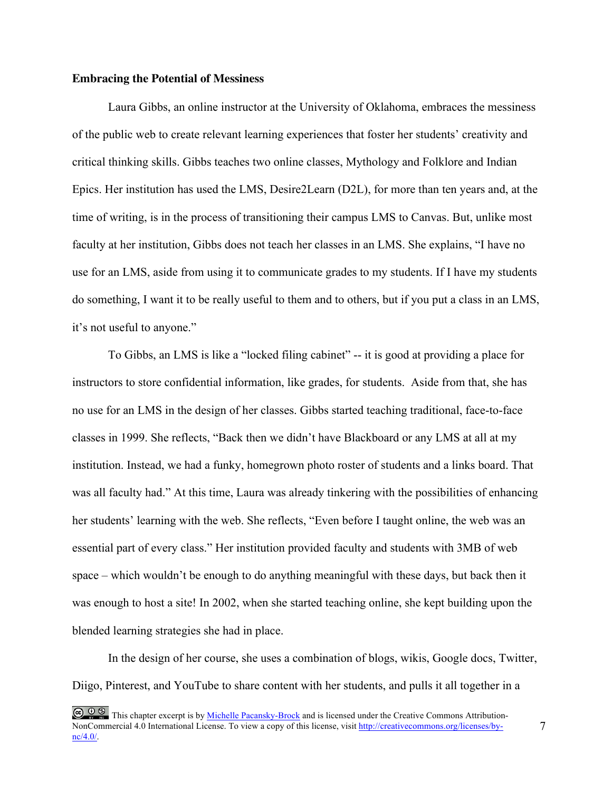## **Embracing the Potential of Messiness**

Laura Gibbs, an online instructor at the University of Oklahoma, embraces the messiness of the public web to create relevant learning experiences that foster her students' creativity and critical thinking skills. Gibbs teaches two online classes, Mythology and Folklore and Indian Epics. Her institution has used the LMS, Desire2Learn (D2L), for more than ten years and, at the time of writing, is in the process of transitioning their campus LMS to Canvas. But, unlike most faculty at her institution, Gibbs does not teach her classes in an LMS. She explains, "I have no use for an LMS, aside from using it to communicate grades to my students. If I have my students do something, I want it to be really useful to them and to others, but if you put a class in an LMS, it's not useful to anyone."

To Gibbs, an LMS is like a "locked filing cabinet" -- it is good at providing a place for instructors to store confidential information, like grades, for students. Aside from that, she has no use for an LMS in the design of her classes. Gibbs started teaching traditional, face-to-face classes in 1999. She reflects, "Back then we didn't have Blackboard or any LMS at all at my institution. Instead, we had a funky, homegrown photo roster of students and a links board. That was all faculty had." At this time, Laura was already tinkering with the possibilities of enhancing her students' learning with the web. She reflects, "Even before I taught online, the web was an essential part of every class." Her institution provided faculty and students with 3MB of web space – which wouldn't be enough to do anything meaningful with these days, but back then it was enough to host a site! In 2002, when she started teaching online, she kept building upon the blended learning strategies she had in place.

In the design of her course, she uses a combination of blogs, wikis, Google docs, Twitter, Diigo, Pinterest, and YouTube to share content with her students, and pulls it all together in a

**COO** This chapter excerpt is by [Michelle Pacansky-Brock](http://brocansky.com) and is licensed under the Creative Commons Attribution-NonCommercial 4.0 International License. To view a copy of this license, visit [http://creativecommons.org/licenses/by](http://creativecommons.org/licenses/by-nc/4.0/)[nc/4.0/](http://creativecommons.org/licenses/by-nc/4.0/).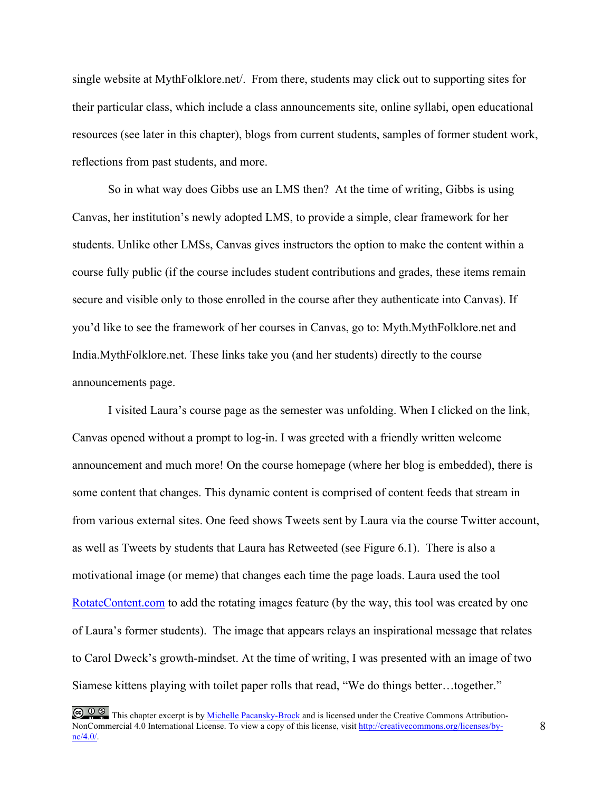single website at MythFolklore.net/. From there, students may click out to supporting sites for their particular class, which include a class announcements site, online syllabi, open educational resources (see later in this chapter), blogs from current students, samples of former student work, reflections from past students, and more.

So in what way does Gibbs use an LMS then? At the time of writing, Gibbs is using Canvas, her institution's newly adopted LMS, to provide a simple, clear framework for her students. Unlike other LMSs, Canvas gives instructors the option to make the content within a course fully public (if the course includes student contributions and grades, these items remain secure and visible only to those enrolled in the course after they authenticate into Canvas). If you'd like to see the framework of her courses in Canvas, go to: Myth.MythFolklore.net and India.MythFolklore.net. These links take you (and her students) directly to the course announcements page.

I visited Laura's course page as the semester was unfolding. When I clicked on the link, Canvas opened without a prompt to log-in. I was greeted with a friendly written welcome announcement and much more! On the course homepage (where her blog is embedded), there is some content that changes. This dynamic content is comprised of content feeds that stream in from various external sites. One feed shows Tweets sent by Laura via the course Twitter account, as well as Tweets by students that Laura has Retweeted (see Figure 6.1). There is also a motivational image (or meme) that changes each time the page loads. Laura used the tool [RotateContent.com](http://rotatecontent.com) to add the rotating images feature (by the way, this tool was created by one of Laura's former students). The image that appears relays an inspirational message that relates to Carol Dweck's growth-mindset. At the time of writing, I was presented with an image of two Siamese kittens playing with toilet paper rolls that read, "We do things better…together."

**CO** <sup>O</sup> <sup>©</sup> This chapter excerpt is by [Michelle Pacansky-Brock](http://brocansky.com) and is licensed under the Creative Commons Attribution-NonCommercial 4.0 International License. To view a copy of this license, visit [http://creativecommons.org/licenses/by](http://creativecommons.org/licenses/by-nc/4.0/)[nc/4.0/](http://creativecommons.org/licenses/by-nc/4.0/).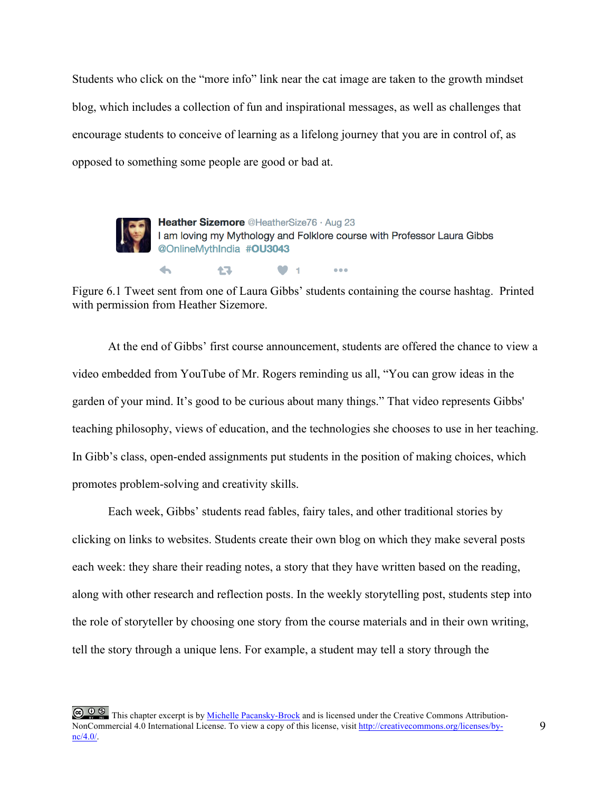Students who click on the "more info" link near the cat image are taken to the growth mindset blog, which includes a collection of fun and inspirational messages, as well as challenges that encourage students to conceive of learning as a lifelong journey that you are in control of, as opposed to something some people are good or bad at.



Heather Sizemore @HeatherSize76 · Aug 23 I am loving my Mythology and Folklore course with Professor Laura Gibbs @OnlineMythIndia #0U3043

 $0.00$ 

 $\blacktriangleleft$ 43.  $\bullet$  1

Figure 6.1 Tweet sent from one of Laura Gibbs' students containing the course hashtag. Printed with permission from Heather Sizemore.

At the end of Gibbs' first course announcement, students are offered the chance to view a video embedded from YouTube of Mr. Rogers reminding us all, "You can grow ideas in the garden of your mind. It's good to be curious about many things." That video represents Gibbs' teaching philosophy, views of education, and the technologies she chooses to use in her teaching. In Gibb's class, open-ended assignments put students in the position of making choices, which promotes problem-solving and creativity skills.

Each week, Gibbs' students read fables, fairy tales, and other traditional stories by clicking on links to websites. Students create their own blog on which they make several posts each week: they share their reading notes, a story that they have written based on the reading, along with other research and reflection posts. In the weekly storytelling post, students step into the role of storyteller by choosing one story from the course materials and in their own writing, tell the story through a unique lens. For example, a student may tell a story through the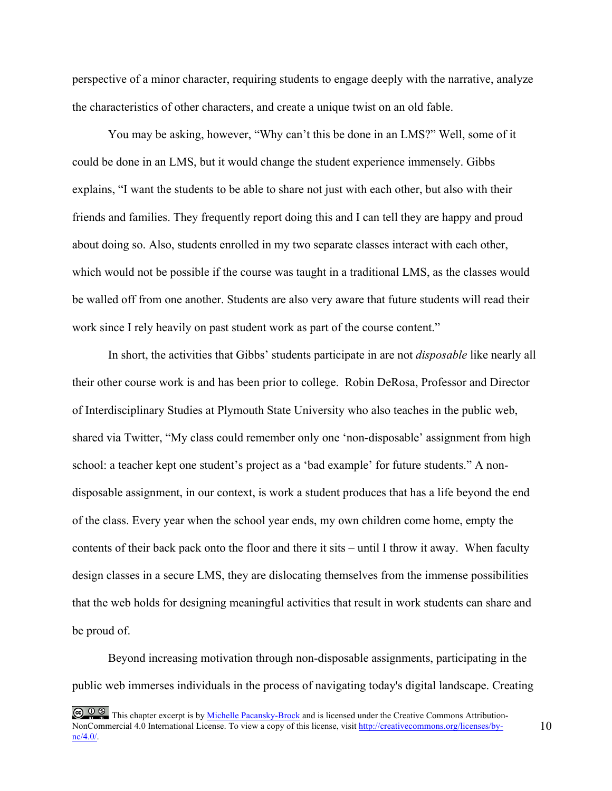perspective of a minor character, requiring students to engage deeply with the narrative, analyze the characteristics of other characters, and create a unique twist on an old fable.

You may be asking, however, "Why can't this be done in an LMS?" Well, some of it could be done in an LMS, but it would change the student experience immensely. Gibbs explains, "I want the students to be able to share not just with each other, but also with their friends and families. They frequently report doing this and I can tell they are happy and proud about doing so. Also, students enrolled in my two separate classes interact with each other, which would not be possible if the course was taught in a traditional LMS, as the classes would be walled off from one another. Students are also very aware that future students will read their work since I rely heavily on past student work as part of the course content."

In short, the activities that Gibbs' students participate in are not *disposable* like nearly all their other course work is and has been prior to college. Robin DeRosa, Professor and Director of Interdisciplinary Studies at Plymouth State University who also teaches in the public web, shared via Twitter, "My class could remember only one 'non-disposable' assignment from high school: a teacher kept one student's project as a 'bad example' for future students." A nondisposable assignment, in our context, is work a student produces that has a life beyond the end of the class. Every year when the school year ends, my own children come home, empty the contents of their back pack onto the floor and there it sits – until I throw it away. When faculty design classes in a secure LMS, they are dislocating themselves from the immense possibilities that the web holds for designing meaningful activities that result in work students can share and be proud of.

Beyond increasing motivation through non-disposable assignments, participating in the public web immerses individuals in the process of navigating today's digital landscape. Creating

**COO** This chapter excerpt is by [Michelle Pacansky-Brock](http://brocansky.com) and is licensed under the Creative Commons Attribution-NonCommercial 4.0 International License. To view a copy of this license, visit [http://creativecommons.org/licenses/by](http://creativecommons.org/licenses/by-nc/4.0/)[nc/4.0/](http://creativecommons.org/licenses/by-nc/4.0/).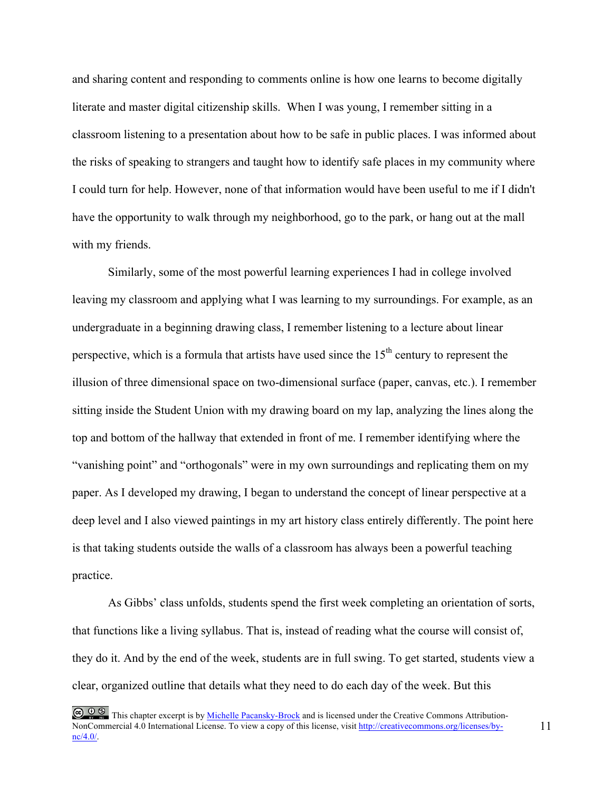and sharing content and responding to comments online is how one learns to become digitally literate and master digital citizenship skills. When I was young, I remember sitting in a classroom listening to a presentation about how to be safe in public places. I was informed about the risks of speaking to strangers and taught how to identify safe places in my community where I could turn for help. However, none of that information would have been useful to me if I didn't have the opportunity to walk through my neighborhood, go to the park, or hang out at the mall with my friends.

Similarly, some of the most powerful learning experiences I had in college involved leaving my classroom and applying what I was learning to my surroundings. For example, as an undergraduate in a beginning drawing class, I remember listening to a lecture about linear perspective, which is a formula that artists have used since the  $15<sup>th</sup>$  century to represent the illusion of three dimensional space on two-dimensional surface (paper, canvas, etc.). I remember sitting inside the Student Union with my drawing board on my lap, analyzing the lines along the top and bottom of the hallway that extended in front of me. I remember identifying where the "vanishing point" and "orthogonals" were in my own surroundings and replicating them on my paper. As I developed my drawing, I began to understand the concept of linear perspective at a deep level and I also viewed paintings in my art history class entirely differently. The point here is that taking students outside the walls of a classroom has always been a powerful teaching practice.

As Gibbs' class unfolds, students spend the first week completing an orientation of sorts, that functions like a living syllabus. That is, instead of reading what the course will consist of, they do it. And by the end of the week, students are in full swing. To get started, students view a clear, organized outline that details what they need to do each day of the week. But this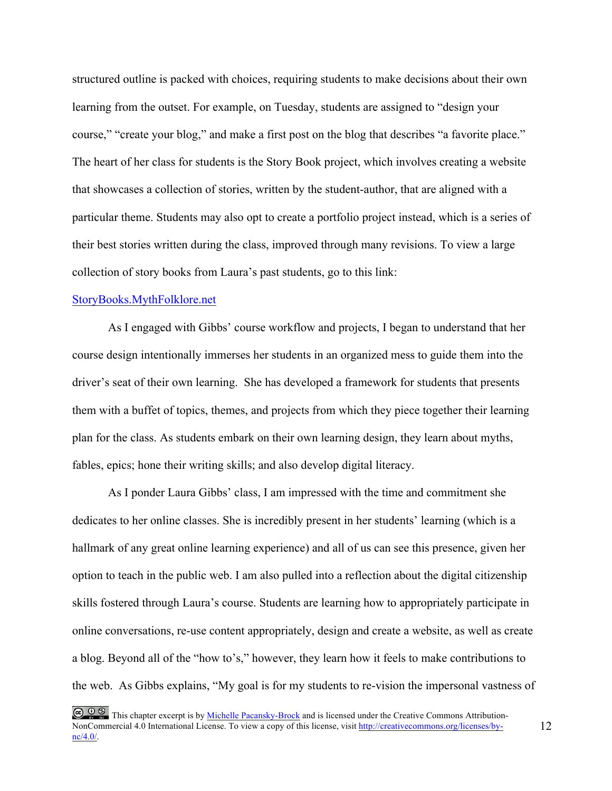structured outline is packed with choices, requiring students to make decisions about their own learning from the outset. For example, on Tuesday, students are assigned to "design your course," "create your blog," and make a first post on the blog that describes "a favorite place." The heart of her class for students is the Story Book project, which involves creating a website that showcases a collection of stories, written by the student-author, that are aligned with a particular theme. Students may also opt to create a portfolio project instead, which is a series of their best stories written during the class, improved through many revisions. To view a large collection of story books from Laura's past students, go to this link:

#### [StoryBooks.MythFolklore.net](http://storybooks.MythFolklore.net)

As I engaged with Gibbs' course workflow and projects, I began to understand that her course design intentionally immerses her students in an organized mess to guide them into the driver's seat of their own learning. She has developed a framework for students that presents them with a buffet of topics, themes, and projects from which they piece together their learning plan for the class. As students embark on their own learning design, they learn about myths, fables, epics; hone their writing skills; and also develop digital literacy.

As I ponder Laura Gibbs' class, I am impressed with the time and commitment she dedicates to her online classes. She is incredibly present in her students' learning (which is a hallmark of any great online learning experience) and all of us can see this presence, given her option to teach in the public web. I am also pulled into a reflection about the digital citizenship skills fostered through Laura's course. Students are learning how to appropriately participate in online conversations, re-use content appropriately, design and create a website, as well as create a blog. Beyond all of the "how to's," however, they learn how it feels to make contributions to the web. As Gibbs explains, "My goal is for my students to re-vision the impersonal vastness of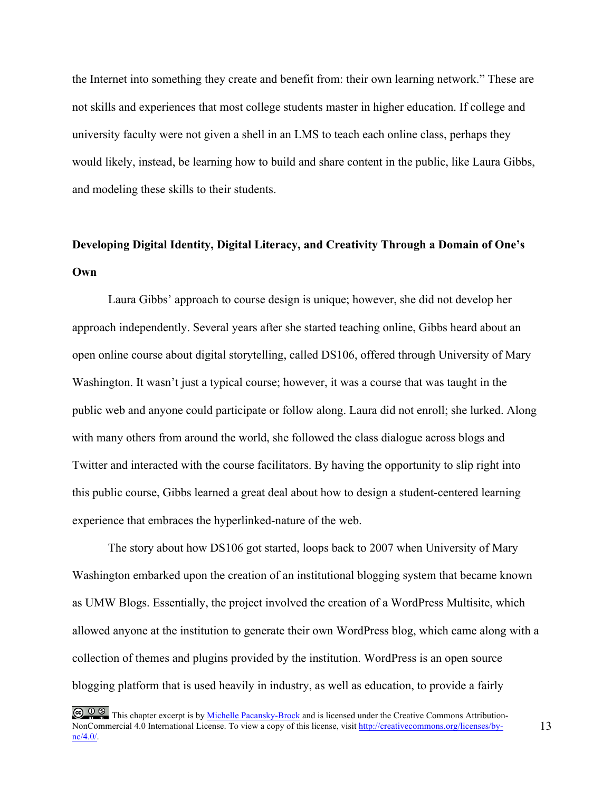the Internet into something they create and benefit from: their own learning network." These are not skills and experiences that most college students master in higher education. If college and university faculty were not given a shell in an LMS to teach each online class, perhaps they would likely, instead, be learning how to build and share content in the public, like Laura Gibbs, and modeling these skills to their students.

# **Developing Digital Identity, Digital Literacy, and Creativity Through a Domain of One's Own**

Laura Gibbs' approach to course design is unique; however, she did not develop her approach independently. Several years after she started teaching online, Gibbs heard about an open online course about digital storytelling, called DS106, offered through University of Mary Washington. It wasn't just a typical course; however, it was a course that was taught in the public web and anyone could participate or follow along. Laura did not enroll; she lurked. Along with many others from around the world, she followed the class dialogue across blogs and Twitter and interacted with the course facilitators. By having the opportunity to slip right into this public course, Gibbs learned a great deal about how to design a student-centered learning experience that embraces the hyperlinked-nature of the web.

The story about how DS106 got started, loops back to 2007 when University of Mary Washington embarked upon the creation of an institutional blogging system that became known as UMW Blogs. Essentially, the project involved the creation of a WordPress Multisite, which allowed anyone at the institution to generate their own WordPress blog, which came along with a collection of themes and plugins provided by the institution. WordPress is an open source blogging platform that is used heavily in industry, as well as education, to provide a fairly

**COO** This chapter excerpt is by [Michelle Pacansky-Brock](http://brocansky.com) and is licensed under the Creative Commons Attribution-NonCommercial 4.0 International License. To view a copy of this license, visit [http://creativecommons.org/licenses/by](http://creativecommons.org/licenses/by-nc/4.0/)[nc/4.0/](http://creativecommons.org/licenses/by-nc/4.0/).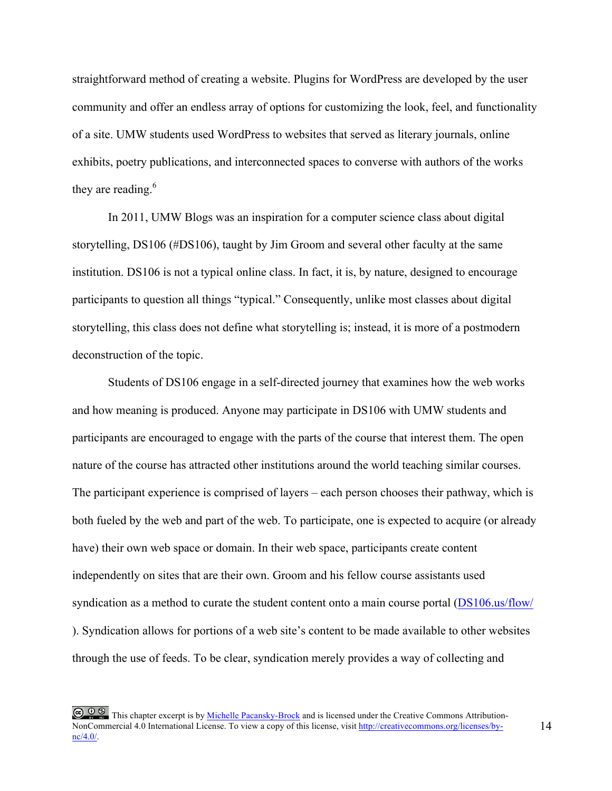straightforward method of creating a website. Plugins for WordPress are developed by the user community and offer an endless array of options for customizing the look, feel, and functionality of a site. UMW students used WordPress to websites that served as literary journals, online exhibits, poetry publications, and interconnected spaces to converse with authors of the works they are reading.<sup>6</sup>

In 2011, UMW Blogs was an inspiration for a computer science class about digital storytelling, DS106 (#DS106), taught by Jim Groom and several other faculty at the same institution. DS106 is not a typical online class. In fact, it is, by nature, designed to encourage participants to question all things "typical." Consequently, unlike most classes about digital storytelling, this class does not define what storytelling is; instead, it is more of a postmodern deconstruction of the topic.

Students of DS106 engage in a self-directed journey that examines how the web works and how meaning is produced. Anyone may participate in DS106 with UMW students and participants are encouraged to engage with the parts of the course that interest them. The open nature of the course has attracted other institutions around the world teaching similar courses. The participant experience is comprised of layers – each person chooses their pathway, which is both fueled by the web and part of the web. To participate, one is expected to acquire (or already have) their own web space or domain. In their web space, participants create content independently on sites that are their own. Groom and his fellow course assistants used syndication as a method to curate the student content onto a main course portal [\(DS106.us/flow/](http://ds106.us/flow/) ). Syndication allows for portions of a web site's content to be made available to other websites through the use of feeds. To be clear, syndication merely provides a way of collecting and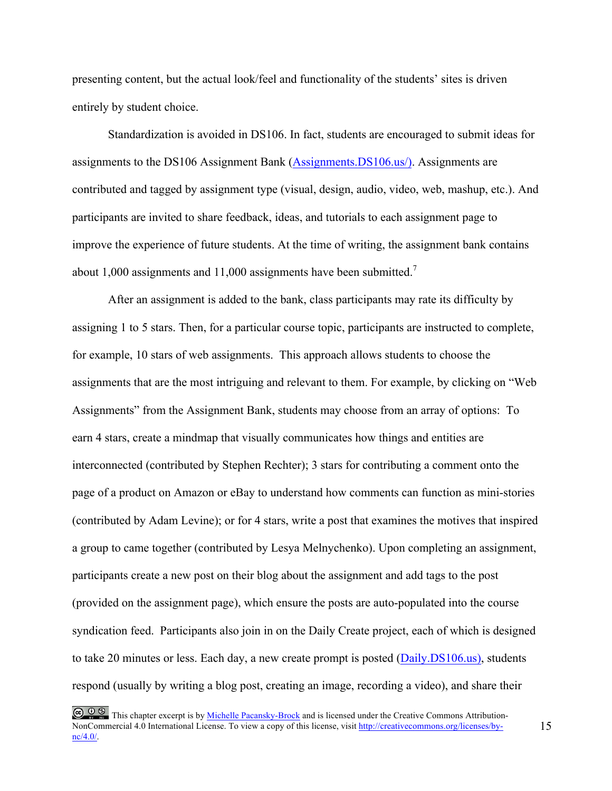presenting content, but the actual look/feel and functionality of the students' sites is driven entirely by student choice.

Standardization is avoided in DS106. In fact, students are encouraged to submit ideas for assignments to the DS106 Assignment Bank [\(Assignments.DS106.us/\)](http://assignments.ds106.us/)). Assignments are contributed and tagged by assignment type (visual, design, audio, video, web, mashup, etc.). And participants are invited to share feedback, ideas, and tutorials to each assignment page to improve the experience of future students. At the time of writing, the assignment bank contains about 1,000 assignments and 11,000 assignments have been submitted.<sup>7</sup>

After an assignment is added to the bank, class participants may rate its difficulty by assigning 1 to 5 stars. Then, for a particular course topic, participants are instructed to complete, for example, 10 stars of web assignments. This approach allows students to choose the assignments that are the most intriguing and relevant to them. For example, by clicking on "Web Assignments" from the Assignment Bank, students may choose from an array of options: To earn 4 stars, create a mindmap that visually communicates how things and entities are interconnected (contributed by Stephen Rechter); 3 stars for contributing a comment onto the page of a product on Amazon or eBay to understand how comments can function as mini-stories (contributed by Adam Levine); or for 4 stars, write a post that examines the motives that inspired a group to came together (contributed by Lesya Melnychenko). Upon completing an assignment, participants create a new post on their blog about the assignment and add tags to the post (provided on the assignment page), which ensure the posts are auto-populated into the course syndication feed. Participants also join in on the Daily Create project, each of which is designed to take 20 minutes or less. Each day, a new create prompt is posted [\(Daily.DS106.us\)](http://daily.ds106.us/tdc1692/)), students respond (usually by writing a blog post, creating an image, recording a video), and share their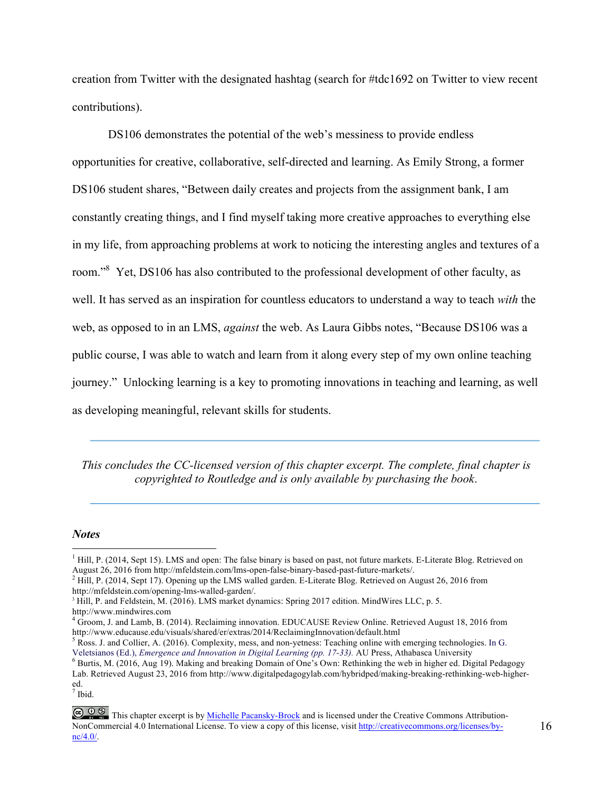creation from Twitter with the designated hashtag (search for #tdc1692 on Twitter to view recent contributions).

DS106 demonstrates the potential of the web's messiness to provide endless opportunities for creative, collaborative, self-directed and learning. As Emily Strong, a former DS106 student shares, "Between daily creates and projects from the assignment bank, I am constantly creating things, and I find myself taking more creative approaches to everything else in my life, from approaching problems at work to noticing the interesting angles and textures of a room."<sup>8</sup> Yet, DS106 has also contributed to the professional development of other faculty, as well. It has served as an inspiration for countless educators to understand a way to teach *with* the web, as opposed to in an LMS, *against* the web. As Laura Gibbs notes, "Because DS106 was a public course, I was able to watch and learn from it along every step of my own online teaching journey." Unlocking learning is a key to promoting innovations in teaching and learning, as well as developing meaningful, relevant skills for students.

*This concludes the CC-licensed version of this chapter excerpt. The complete, final chapter is copyrighted to Routledge and is only available by purchasing the book*.

# *Notes*

 $<sup>1</sup>$  Hill, P. (2014, Sept 15). LMS and open: The false binary is based on past, not future markets. E-Literate Blog. Retrieved on</sup> August 26, 2016 from http://mfeldstein.com/lms-open-false-binary-based-past-future-markets/. <sup>2</sup> Hill, P. (2014, Sept 17). Opening up the LMS walled garden. E-Literate Blog. Retrieved on August 26, 2016 from

http://mfeldstein.com/opening-lms-walled-garden/.

<sup>&</sup>lt;sup>3</sup> Hill, P. and Feldstein, M. (2016). LMS market dynamics: Spring 2017 edition. MindWires LLC, p. 5. http://www.mindwires.com

<sup>4</sup> Groom, J. and Lamb, B. (2014). Reclaiming innovation. EDUCAUSE Review Online. Retrieved August 18, 2016 from http://www.educause.edu/visuals/shared/er/extras/2014/ReclaimingInnovation/default.html

 $^5$  Ross. J. and Collier, A. (2016). Complexity, mess, and non-yetness: Teaching online with emerging technologies. In G. Veletsianos (Ed.), *Emergence and Innovation in Digital Learning (pp. 17-33)*. AU Press, Athabasca

<sup>&</sup>lt;sup>6</sup> Burtis, M. (2016, Aug 19). Making and breaking Domain of One's Own: Rethinking the web in higher ed. Digital Pedagogy Lab. Retrieved August 23, 2016 from http://www.digitalpedagogylab.com/hybridped/making-breaking-rethinking-web-highered.

 $<sup>7</sup>$  Ibid.</sup>

C  $\odot$   $\odot$   $\odot$  This chapter excerpt is by <u>Michelle Pacansky-Brock</u> and is licensed under the Creative Commons Attribution-NonCommercial 4.0 International License. To view a copy of this license, visit http://creativecommons.org/licenses/bync/4.0/.